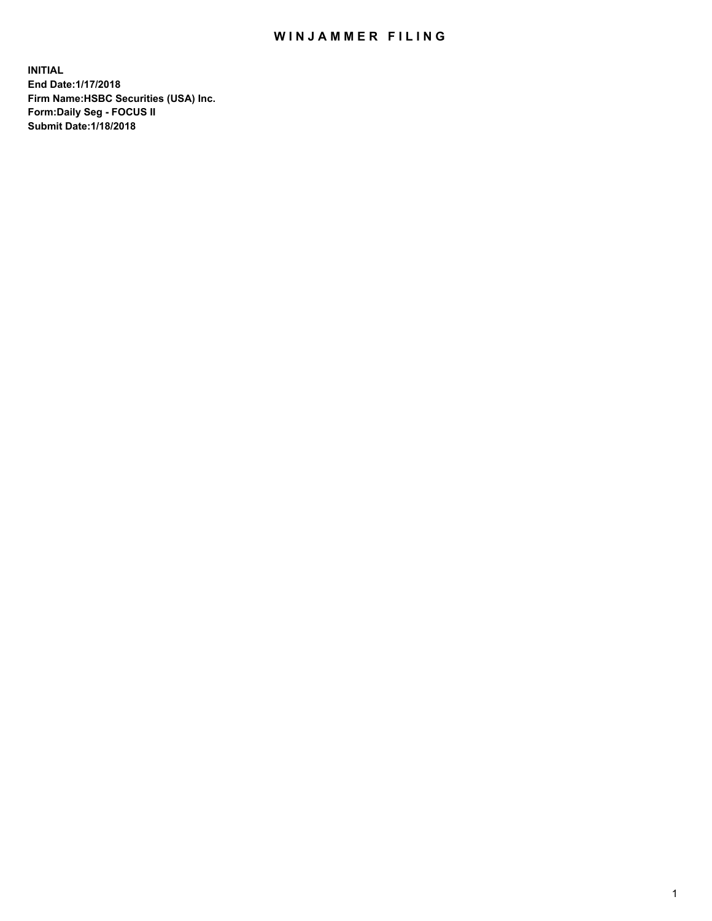## WIN JAMMER FILING

**INITIAL End Date:1/17/2018 Firm Name:HSBC Securities (USA) Inc. Form:Daily Seg - FOCUS II Submit Date:1/18/2018**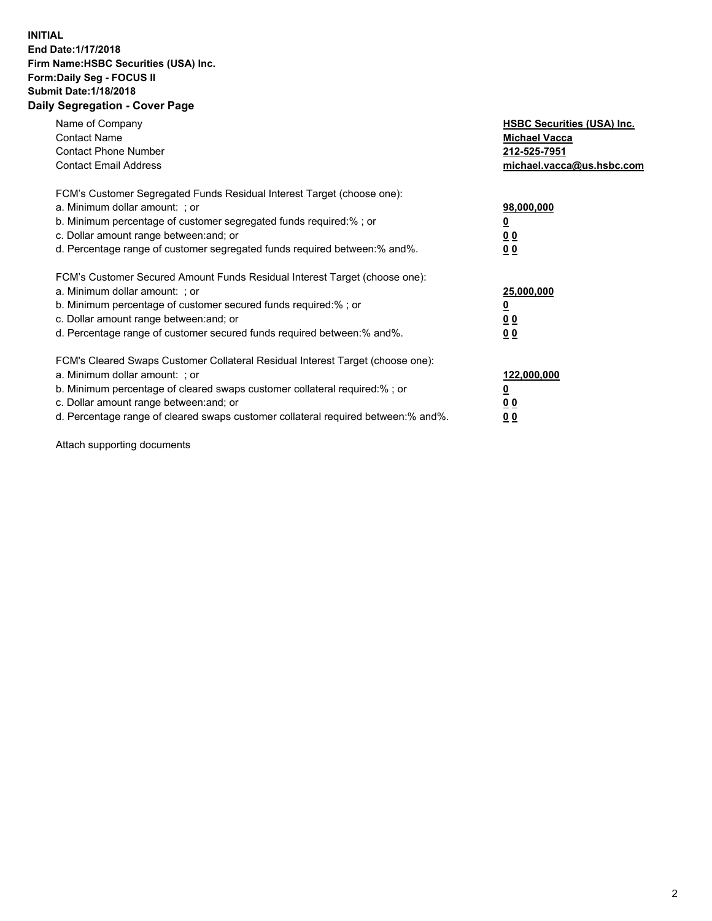## **INITIAL End Date:1/17/2018 Firm Name:HSBC Securities (USA) Inc. Form:Daily Seg - FOCUS II Submit Date:1/18/2018 Daily Segregation - Cover Page**

| Name of Company<br><b>Contact Name</b><br><b>Contact Phone Number</b><br><b>Contact Email Address</b>                                                                                                                                                                                                                         | <b>HSBC Securities (USA) Inc.</b><br><b>Michael Vacca</b><br>212-525-7951<br>michael.vacca@us.hsbc.com |
|-------------------------------------------------------------------------------------------------------------------------------------------------------------------------------------------------------------------------------------------------------------------------------------------------------------------------------|--------------------------------------------------------------------------------------------------------|
| FCM's Customer Segregated Funds Residual Interest Target (choose one):<br>a. Minimum dollar amount: ; or<br>b. Minimum percentage of customer segregated funds required:%; or<br>c. Dollar amount range between: and; or<br>d. Percentage range of customer segregated funds required between: % and %.                       | 98,000,000<br><u>0</u><br><u>00</u><br>00                                                              |
| FCM's Customer Secured Amount Funds Residual Interest Target (choose one):<br>a. Minimum dollar amount: ; or<br>b. Minimum percentage of customer secured funds required:%; or<br>c. Dollar amount range between: and; or<br>d. Percentage range of customer secured funds required between: % and %.                         | 25,000,000<br><u>0</u><br><u>00</u><br>00                                                              |
| FCM's Cleared Swaps Customer Collateral Residual Interest Target (choose one):<br>a. Minimum dollar amount: ; or<br>b. Minimum percentage of cleared swaps customer collateral required:%; or<br>c. Dollar amount range between: and; or<br>d. Percentage range of cleared swaps customer collateral required between:% and%. | 122,000,000<br><u>0</u><br><u>00</u><br><u>00</u>                                                      |

Attach supporting documents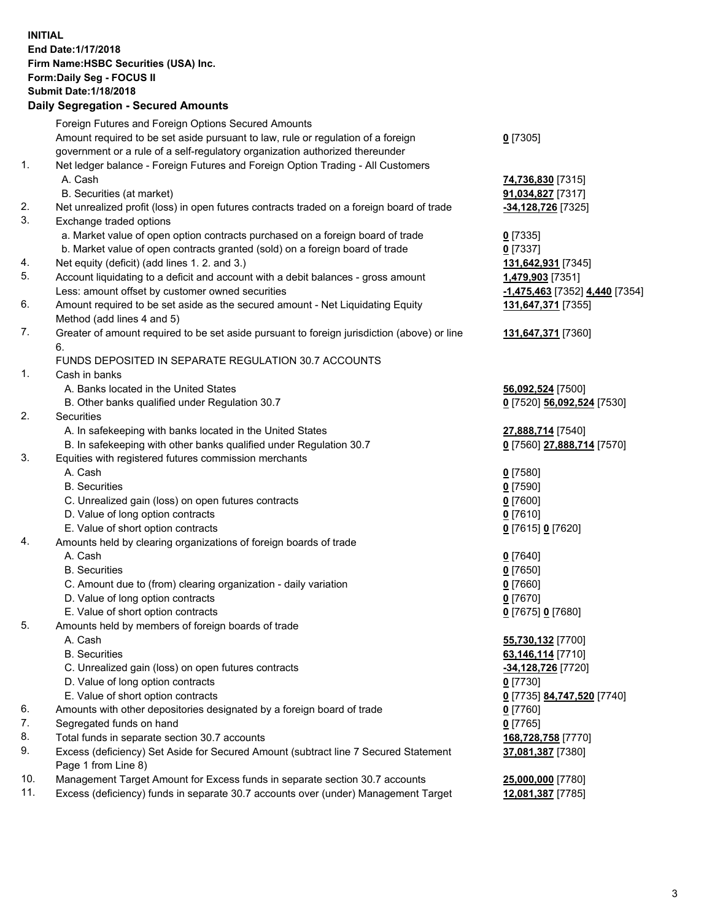**INITIAL End Date:1/17/2018 Firm Name:HSBC Securities (USA) Inc. Form:Daily Seg - FOCUS II Submit Date:1/18/2018 Daily Segregation - Secured Amounts**

Foreign Futures and Foreign Options Secured Amounts Amount required to be set aside pursuant to law, rule or regulation of a foreign government or a rule of a self-regulatory organization authorized thereunder **0** [7305] 1. Net ledger balance - Foreign Futures and Foreign Option Trading - All Customers A. Cash **74,736,830** [7315] B. Securities (at market) **91,034,827** [7317] 2. Net unrealized profit (loss) in open futures contracts traded on a foreign board of trade **-34,128,726** [7325] 3. Exchange traded options a. Market value of open option contracts purchased on a foreign board of trade **0** [7335] b. Market value of open contracts granted (sold) on a foreign board of trade **0** [7337] 4. Net equity (deficit) (add lines 1. 2. and 3.) **131,642,931** [7345] 5. Account liquidating to a deficit and account with a debit balances - gross amount **1,479,903** [7351] Less: amount offset by customer owned securities **-1,475,463** [7352] **4,440** [7354] 6. Amount required to be set aside as the secured amount - Net Liquidating Equity Method (add lines 4 and 5) **131,647,371** [7355] 7. Greater of amount required to be set aside pursuant to foreign jurisdiction (above) or line 6. **131,647,371** [7360] FUNDS DEPOSITED IN SEPARATE REGULATION 30.7 ACCOUNTS 1. Cash in banks A. Banks located in the United States **56,092,524** [7500] B. Other banks qualified under Regulation 30.7 **0** [7520] **56,092,524** [7530] 2. Securities A. In safekeeping with banks located in the United States **27,888,714** [7540] B. In safekeeping with other banks qualified under Regulation 30.7 **0** [7560] **27,888,714** [7570] 3. Equities with registered futures commission merchants A. Cash **0** [7580] B. Securities **0** [7590] C. Unrealized gain (loss) on open futures contracts **0** [7600] D. Value of long option contracts **0** [7610] E. Value of short option contracts **0** [7615] **0** [7620] 4. Amounts held by clearing organizations of foreign boards of trade A. Cash **0** [7640] B. Securities **0** [7650] C. Amount due to (from) clearing organization - daily variation **0** [7660] D. Value of long option contracts **0** [7670] E. Value of short option contracts **0** [7675] **0** [7680] 5. Amounts held by members of foreign boards of trade A. Cash **55,730,132** [7700] B. Securities **63,146,114** [7710] C. Unrealized gain (loss) on open futures contracts **-34,128,726** [7720] D. Value of long option contracts **0** [7730] E. Value of short option contracts **0** [7735] **84,747,520** [7740] 6. Amounts with other depositories designated by a foreign board of trade **0** [7760] 7. Segregated funds on hand **0** [7765] 8. Total funds in separate section 30.7 accounts **168,728,758** [7770] 9. Excess (deficiency) Set Aside for Secured Amount (subtract line 7 Secured Statement Page 1 from Line 8) **37,081,387** [7380] 10. Management Target Amount for Excess funds in separate section 30.7 accounts **25,000,000** [7780] 11. Excess (deficiency) funds in separate 30.7 accounts over (under) Management Target **12,081,387** [7785]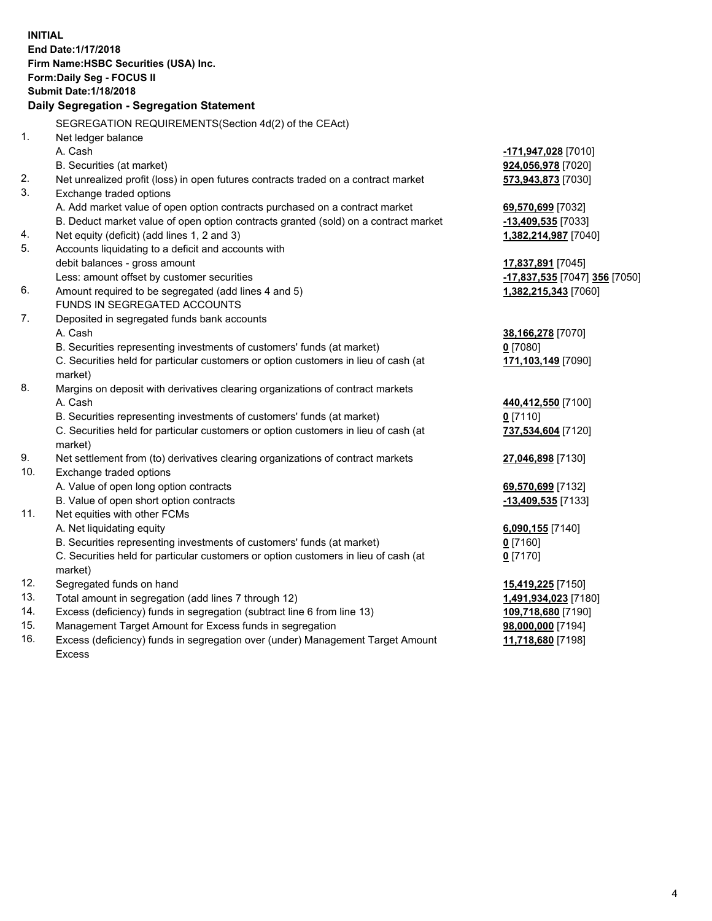| <b>INITIAL</b>                            |                                                                                                |                               |  |  |  |  |
|-------------------------------------------|------------------------------------------------------------------------------------------------|-------------------------------|--|--|--|--|
| End Date: 1/17/2018                       |                                                                                                |                               |  |  |  |  |
|                                           | Firm Name: HSBC Securities (USA) Inc.                                                          |                               |  |  |  |  |
| Form: Daily Seg - FOCUS II                |                                                                                                |                               |  |  |  |  |
|                                           | <b>Submit Date: 1/18/2018</b>                                                                  |                               |  |  |  |  |
| Daily Segregation - Segregation Statement |                                                                                                |                               |  |  |  |  |
|                                           | SEGREGATION REQUIREMENTS(Section 4d(2) of the CEAct)                                           |                               |  |  |  |  |
| 1.                                        | Net ledger balance                                                                             |                               |  |  |  |  |
|                                           | A. Cash                                                                                        | -171,947,028 [7010]           |  |  |  |  |
|                                           | B. Securities (at market)                                                                      | 924,056,978 [7020]            |  |  |  |  |
| 2.                                        | Net unrealized profit (loss) in open futures contracts traded on a contract market             | 573,943,873 [7030]            |  |  |  |  |
| 3.                                        | Exchange traded options                                                                        |                               |  |  |  |  |
|                                           | A. Add market value of open option contracts purchased on a contract market                    | 69,570,699 [7032]             |  |  |  |  |
|                                           | B. Deduct market value of open option contracts granted (sold) on a contract market            | -13,409,535 [7033]            |  |  |  |  |
| 4.                                        | Net equity (deficit) (add lines 1, 2 and 3)                                                    | 1,382,214,987 [7040]          |  |  |  |  |
| 5.                                        | Accounts liquidating to a deficit and accounts with                                            |                               |  |  |  |  |
|                                           | debit balances - gross amount                                                                  | 17,837,891 [7045]             |  |  |  |  |
|                                           | Less: amount offset by customer securities                                                     | -17,837,535 [7047] 356 [7050] |  |  |  |  |
| 6.                                        | Amount required to be segregated (add lines 4 and 5)                                           | 1,382,215,343 [7060]          |  |  |  |  |
|                                           | FUNDS IN SEGREGATED ACCOUNTS                                                                   |                               |  |  |  |  |
| 7.                                        | Deposited in segregated funds bank accounts                                                    |                               |  |  |  |  |
|                                           | A. Cash                                                                                        | 38,166,278 [7070]             |  |  |  |  |
|                                           | B. Securities representing investments of customers' funds (at market)                         | $0$ [7080]                    |  |  |  |  |
|                                           | C. Securities held for particular customers or option customers in lieu of cash (at            | 171,103,149 [7090]            |  |  |  |  |
|                                           | market)                                                                                        |                               |  |  |  |  |
| 8.                                        | Margins on deposit with derivatives clearing organizations of contract markets                 |                               |  |  |  |  |
|                                           | A. Cash                                                                                        | 440,412,550 [7100]            |  |  |  |  |
|                                           | B. Securities representing investments of customers' funds (at market)                         | $0$ [7110]                    |  |  |  |  |
|                                           | C. Securities held for particular customers or option customers in lieu of cash (at            | 737,534,604 [7120]            |  |  |  |  |
|                                           | market)                                                                                        |                               |  |  |  |  |
| 9.                                        | Net settlement from (to) derivatives clearing organizations of contract markets                | 27,046,898 [7130]             |  |  |  |  |
| 10.                                       | Exchange traded options                                                                        |                               |  |  |  |  |
|                                           | A. Value of open long option contracts                                                         | 69,570,699 [7132]             |  |  |  |  |
|                                           | B. Value of open short option contracts                                                        | $-13,409,535$ [7133]          |  |  |  |  |
| 11.                                       | Net equities with other FCMs                                                                   |                               |  |  |  |  |
|                                           | A. Net liquidating equity                                                                      | 6,090,155 [7140]              |  |  |  |  |
|                                           | B. Securities representing investments of customers' funds (at market)                         | <u>0</u> [7160]               |  |  |  |  |
|                                           | C. Securities held for particular customers or option customers in lieu of cash (at<br>market) | $0$ [7170]                    |  |  |  |  |
| 12.                                       | Segregated funds on hand                                                                       | 15,419,225 [7150]             |  |  |  |  |
| 13.                                       | Total amount in segregation (add lines 7 through 12)                                           | 1,491,934,023 [7180]          |  |  |  |  |
| 14.                                       | Excess (deficiency) funds in segregation (subtract line 6 from line 13)                        | 109,718,680 [7190]            |  |  |  |  |
| 15.                                       | Management Target Amount for Excess funds in segregation                                       | 98,000,000 [7194]             |  |  |  |  |
| 16.                                       | Excess (deficiency) funds in segregation over (under) Management Target Amount                 | 11,718,680 [7198]             |  |  |  |  |
|                                           |                                                                                                |                               |  |  |  |  |

16. Excess (deficiency) funds in segregation over (under) Management Target Amount Excess